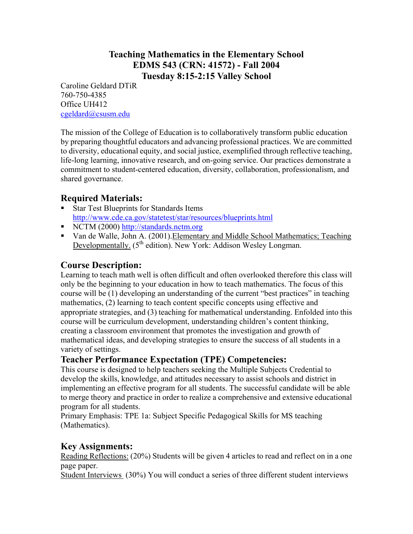## **Teaching Mathematics in the Elementary School EDMS 543 (CRN: 41572) - Fall 2004 Tuesday 8:15-2:15 Valley School**

Caroline Geldard DTiR 760-750-4385 Office UH412 cgeldard@csusm.edu

The mission of the College of Education is to collaboratively transform public education by preparing thoughtful educators and advancing professional practices. We are committed to diversity, educational equity, and social justice, exemplified through reflective teaching, life-long learning, innovative research, and on-going service. Our practices demonstrate a commitment to student-centered education, diversity, collaboration, professionalism, and shared governance.

## **Required Materials:**

- Star Test Blueprints for Standards Items http://www.cde.ca.gov/statetest/star/resources/blueprints.html
- NCTM (2000) http://standards.nctm.org
- Van de Walle, John A. (2001).Elementary and Middle School Mathematics; Teaching Developmentally. (5<sup>th</sup> edition). New York: Addison Wesley Longman.

## **Course Description:**

Learning to teach math well is often difficult and often overlooked therefore this class will only be the beginning to your education in how to teach mathematics. The focus of this course will be (1) developing an understanding of the current "best practices" in teaching mathematics, (2) learning to teach content specific concepts using effective and appropriate strategies, and (3) teaching for mathematical understanding. Enfolded into this course will be curriculum development, understanding children's content thinking, creating a classroom environment that promotes the investigation and growth of mathematical ideas, and developing strategies to ensure the success of all students in a variety of settings.

## **Teacher Performance Expectation (TPE) Competencies:**

This course is designed to help teachers seeking the Multiple Subjects Credential to develop the skills, knowledge, and attitudes necessary to assist schools and district in implementing an effective program for all students. The successful candidate will be able to merge theory and practice in order to realize a comprehensive and extensive educational program for all students.

Primary Emphasis: TPE 1a: Subject Specific Pedagogical Skills for MS teaching (Mathematics).

## **Key Assignments:**

Reading Reflections: (20%) Students will be given 4 articles to read and reflect on in a one page paper.

Student Interviews (30%) You will conduct a series of three different student interviews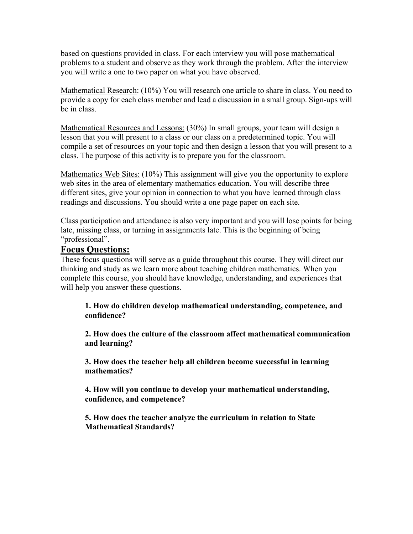based on questions provided in class. For each interview you will pose mathematical problems to a student and observe as they work through the problem. After the interview you will write a one to two paper on what you have observed.

Mathematical Research: (10%) You will research one article to share in class. You need to provide a copy for each class member and lead a discussion in a small group. Sign-ups will be in class.

Mathematical Resources and Lessons: (30%) In small groups, your team will design a lesson that you will present to a class or our class on a predetermined topic. You will compile a set of resources on your topic and then design a lesson that you will present to a class. The purpose of this activity is to prepare you for the classroom.

Mathematics Web Sites: (10%) This assignment will give you the opportunity to explore web sites in the area of elementary mathematics education. You will describe three different sites, give your opinion in connection to what you have learned through class readings and discussions. You should write a one page paper on each site.

Class participation and attendance is also very important and you will lose points for being late, missing class, or turning in assignments late. This is the beginning of being "professional".

## **Focus Questions:**

These focus questions will serve as a guide throughout this course. They will direct our thinking and study as we learn more about teaching children mathematics. When you complete this course, you should have knowledge, understanding, and experiences that will help you answer these questions.

**1. How do children develop mathematical understanding, competence, and confidence?** 

 **2. How does the culture of the classroom affect mathematical communication and learning?** 

 **3. How does the teacher help all children become successful in learning mathematics?** 

 **4. How will you continue to develop your mathematical understanding, confidence, and competence?** 

 **5. How does the teacher analyze the curriculum in relation to State Mathematical Standards?**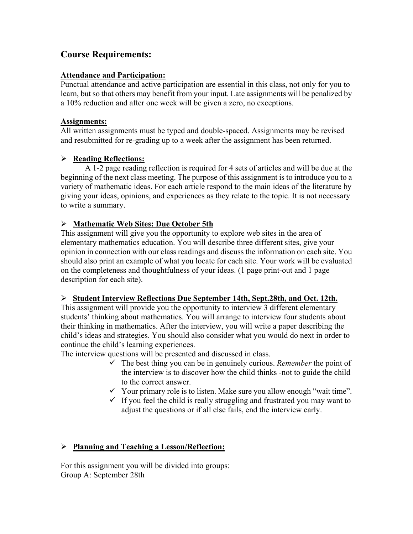## **Course Requirements:**

#### **Attendance and Participation:**

Punctual attendance and active participation are essential in this class, not only for you to learn, but so that others may benefit from your input. Late assignments will be penalized by a 10% reduction and after one week will be given a zero, no exceptions.

#### **Assignments:**

All written assignments must be typed and double-spaced. Assignments may be revised and resubmitted for re-grading up to a week after the assignment has been returned.

### ¾ **Reading Reflections:**

A 1-2 page reading reflection is required for 4 sets of articles and will be due at the beginning of the next class meeting. The purpose of this assignment is to introduce you to a variety of mathematic ideas. For each article respond to the main ideas of the literature by giving your ideas, opinions, and experiences as they relate to the topic. It is not necessary to write a summary.

### ¾ **Mathematic Web Sites: Due October 5th**

This assignment will give you the opportunity to explore web sites in the area of elementary mathematics education. You will describe three different sites, give your opinion in connection with our class readings and discuss the information on each site. You should also print an example of what you locate for each site. Your work will be evaluated on the completeness and thoughtfulness of your ideas. (1 page print-out and 1 page description for each site).

### ¾ **Student Interview Reflections Due September 14th, Sept.28th, and Oct. 12th.**

This assignment will provide you the opportunity to interview 3 different elementary students' thinking about mathematics. You will arrange to interview four students about their thinking in mathematics. After the interview, you will write a paper describing the child's ideas and strategies. You should also consider what you would do next in order to continue the child's learning experiences.

The interview questions will be presented and discussed in class.

- $\checkmark$  The best thing you can be in genuinely curious. *Remember* the point of the interview is to discover how the child thinks -not to guide the child to the correct answer.
- $\checkmark$  Your primary role is to listen. Make sure you allow enough "wait time".
- $\checkmark$  If you feel the child is really struggling and frustrated you may want to adjust the questions or if all else fails, end the interview early.

### ¾ **Planning and Teaching a Lesson/Reflection:**

For this assignment you will be divided into groups: Group A: September 28th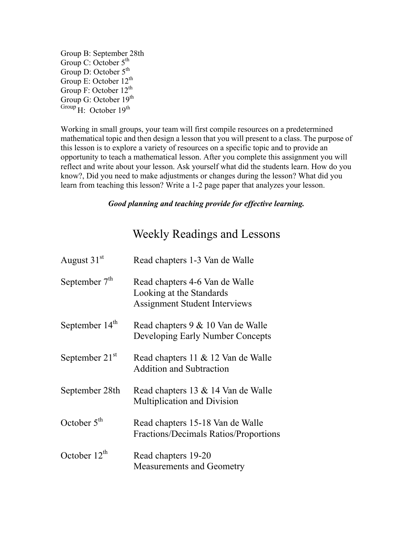Group B: September 28th Group C: October 5<sup>th</sup> Group D: October  $5^{th}$ Group E: October  $12^{th}$ Group F: October 12<sup>th</sup> Group G: October 19<sup>th</sup> Group  $H:$  October 19<sup>th</sup>

Working in small groups, your team will first compile resources on a predetermined mathematical topic and then design a lesson that you will present to a class. The purpose of this lesson is to explore a variety of resources on a specific topic and to provide an opportunity to teach a mathematical lesson. After you complete this assignment you will reflect and write about your lesson. Ask yourself what did the students learn. How do you know?, Did you need to make adjustments or changes during the lesson? What did you learn from teaching this lesson? Write a 1-2 page paper that analyzes your lesson.

#### *Good planning and teaching provide for effective learning.*

# Weekly Readings and Lessons

| August 31 <sup>st</sup> | Read chapters 1-3 Van de Walle                                                                     |
|-------------------------|----------------------------------------------------------------------------------------------------|
| September $7th$         | Read chapters 4-6 Van de Walle<br>Looking at the Standards<br><b>Assignment Student Interviews</b> |
| September $14th$        | Read chapters 9 & 10 Van de Walle<br>Developing Early Number Concepts                              |
| September $21st$        | Read chapters 11 & 12 Van de Walle<br><b>Addition and Subtraction</b>                              |
| September 28th          | Read chapters 13 & 14 Van de Walle<br><b>Multiplication and Division</b>                           |
| October $5th$           | Read chapters 15-18 Van de Walle<br>Fractions/Decimals Ratios/Proportions                          |
| October $12^{th}$       | Read chapters 19-20<br><b>Measurements and Geometry</b>                                            |